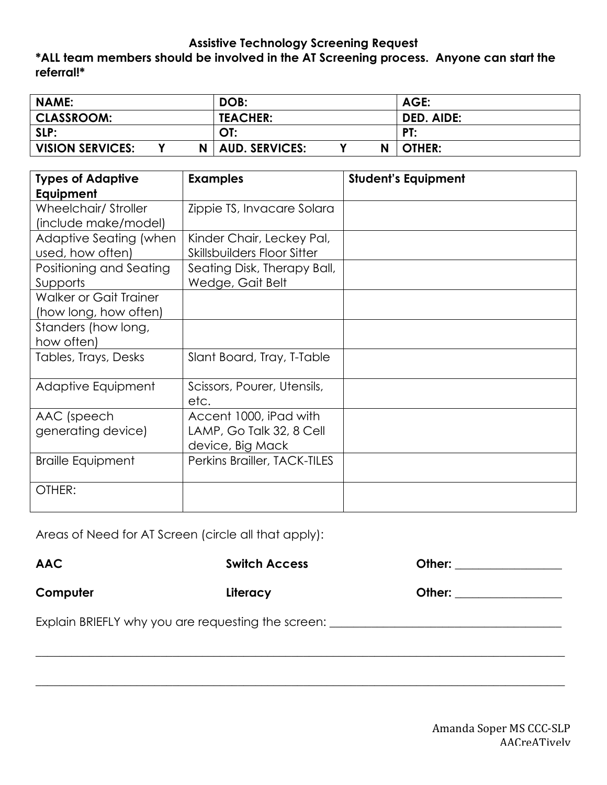## **Assistive Technology Screening Request**

# **\*ALL team members should be involved in the AT Screening process. Anyone can start the referral!\***

| <b>NAME:</b>            |   | DOB:                  |   | AGE:       |
|-------------------------|---|-----------------------|---|------------|
| <b>CLASSROOM:</b>       |   | <b>TEACHER:</b>       |   | DED. AIDE: |
| SLP:                    |   | OT:                   |   | PT:        |
| <b>VISION SERVICES:</b> | N | <b>AUD. SERVICES:</b> | N | OTHER:     |

| <b>Types of Adaptive</b>                   | <b>Examples</b>                                          | <b>Student's Equipment</b> |
|--------------------------------------------|----------------------------------------------------------|----------------------------|
| Equipment                                  |                                                          |                            |
| Wheelchair/Stroller                        | Zippie TS, Invacare Solara                               |                            |
| (include make/model)                       |                                                          |                            |
| Adaptive Seating (when<br>used, how often) | Kinder Chair, Leckey Pal,<br>Skillsbuilders Floor Sitter |                            |
| Positioning and Seating                    | Seating Disk, Therapy Ball,                              |                            |
| Supports                                   | Wedge, Gait Belt                                         |                            |
| <b>Walker or Gait Trainer</b>              |                                                          |                            |
| (how long, how often)                      |                                                          |                            |
| Standers (how long,                        |                                                          |                            |
| how often)                                 |                                                          |                            |
| Tables, Trays, Desks                       | Slant Board, Tray, T-Table                               |                            |
| Adaptive Equipment                         | Scissors, Pourer, Utensils,                              |                            |
|                                            | etc.                                                     |                            |
| AAC (speech                                | Accent 1000, iPad with                                   |                            |
| generating device)                         | LAMP, Go Talk 32, 8 Cell                                 |                            |
|                                            | device, Big Mack                                         |                            |
| <b>Braille Equipment</b>                   | Perkins Brailler, TACK-TILES                             |                            |
| OTHER:                                     |                                                          |                            |

Areas of Need for AT Screen (circle all that apply):

| <b>AAC</b> | <b>Switch Access</b>                                                             | Other: _________________ |
|------------|----------------------------------------------------------------------------------|--------------------------|
| Computer   | Literacy                                                                         |                          |
|            | Explain BRIEFLY why you are requesting the screen: _____________________________ |                          |
|            |                                                                                  |                          |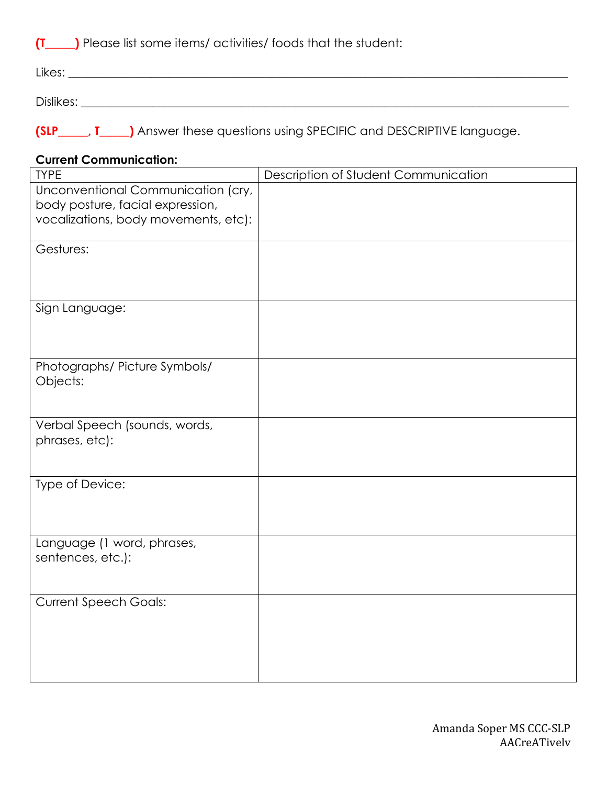**(T\_\_\_\_\_)** Please list some items/ activities/ foods that the student:

| Likes:    |  |  |  |
|-----------|--|--|--|
|           |  |  |  |
| Dislikes: |  |  |  |

**(SLP\_\_\_\_\_, T\_\_\_\_\_)** Answer these questions using SPECIFIC and DESCRIPTIVE language.

### **Current Communication:**

| <b>TYPE</b>                          | Description of Student Communication |
|--------------------------------------|--------------------------------------|
| Unconventional Communication (cry,   |                                      |
| body posture, facial expression,     |                                      |
| vocalizations, body movements, etc): |                                      |
| Gestures:                            |                                      |
|                                      |                                      |
|                                      |                                      |
| Sign Language:                       |                                      |
|                                      |                                      |
|                                      |                                      |
| Photographs/ Picture Symbols/        |                                      |
| Objects:                             |                                      |
|                                      |                                      |
| Verbal Speech (sounds, words,        |                                      |
| phrases, etc):                       |                                      |
|                                      |                                      |
| Type of Device:                      |                                      |
|                                      |                                      |
|                                      |                                      |
| Language (1 word, phrases,           |                                      |
| sentences, etc.):                    |                                      |
|                                      |                                      |
| <b>Current Speech Goals:</b>         |                                      |
|                                      |                                      |
|                                      |                                      |
|                                      |                                      |
|                                      |                                      |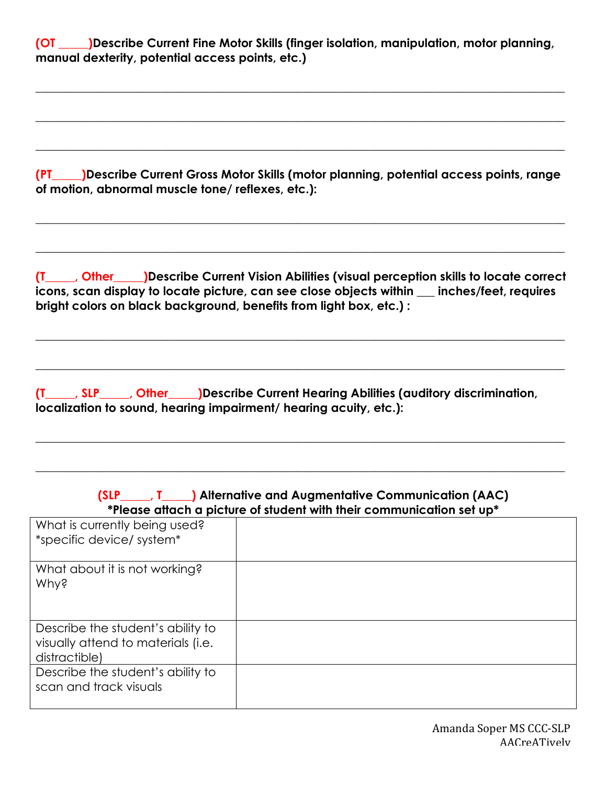**(OT \_\_\_\_\_)Describe Current Fine Motor Skills (finger isolation, manipulation, motor planning, manual dexterity, potential access points, etc.)**

 $\_$  , and the set of the set of the set of the set of the set of the set of the set of the set of the set of the set of the set of the set of the set of the set of the set of the set of the set of the set of the set of th

 $\_$  , and the set of the set of the set of the set of the set of the set of the set of the set of the set of the set of the set of the set of the set of the set of the set of the set of the set of the set of the set of th

 $\_$  , and the set of the set of the set of the set of the set of the set of the set of the set of the set of the set of the set of the set of the set of the set of the set of the set of the set of the set of the set of th

**(PT\_\_\_\_\_)Describe Current Gross Motor Skills (motor planning, potential access points, range of motion, abnormal muscle tone/ reflexes, etc.):**

 $\_$  , and the set of the set of the set of the set of the set of the set of the set of the set of the set of the set of the set of the set of the set of the set of the set of the set of the set of the set of the set of th

 $\_$  , and the set of the set of the set of the set of the set of the set of the set of the set of the set of the set of the set of the set of the set of the set of the set of the set of the set of the set of the set of th

**(T\_\_\_\_\_, Other\_\_\_\_\_)Describe Current Vision Abilities (visual perception skills to locate correct icons, scan display to locate picture, can see close objects within \_\_\_ inches/feet, requires bright colors on black background, benefits from light box, etc.) :**

 $\_$  , and the set of the set of the set of the set of the set of the set of the set of the set of the set of the set of the set of the set of the set of the set of the set of the set of the set of the set of the set of th

 $\_$  , and the set of the set of the set of the set of the set of the set of the set of the set of the set of the set of the set of the set of the set of the set of the set of the set of the set of the set of the set of th

 $\_$  , and the set of the set of the set of the set of the set of the set of the set of the set of the set of the set of the set of the set of the set of the set of the set of the set of the set of the set of the set of th

 $\_$  , and the set of the set of the set of the set of the set of the set of the set of the set of the set of the set of the set of the set of the set of the set of the set of the set of the set of the set of the set of th

**(T\_\_\_\_\_, SLP\_\_\_\_\_, Other\_\_\_\_\_)Describe Current Hearing Abilities (auditory discrimination, localization to sound, hearing impairment/ hearing acuity, etc.):**

| (SLP ____, T ____) Alternative and Augmentative Communication (AAC)<br>*Please attach a picture of student with their communication set up* |  |  |  |
|---------------------------------------------------------------------------------------------------------------------------------------------|--|--|--|
| What is currently being used?<br>*specific device/ system*                                                                                  |  |  |  |
| What about it is not working?<br>Why?                                                                                                       |  |  |  |
| Describe the student's ability to<br>visually attend to materials (i.e.<br>distractible)                                                    |  |  |  |
| Describe the student's ability to<br>scan and track visuals                                                                                 |  |  |  |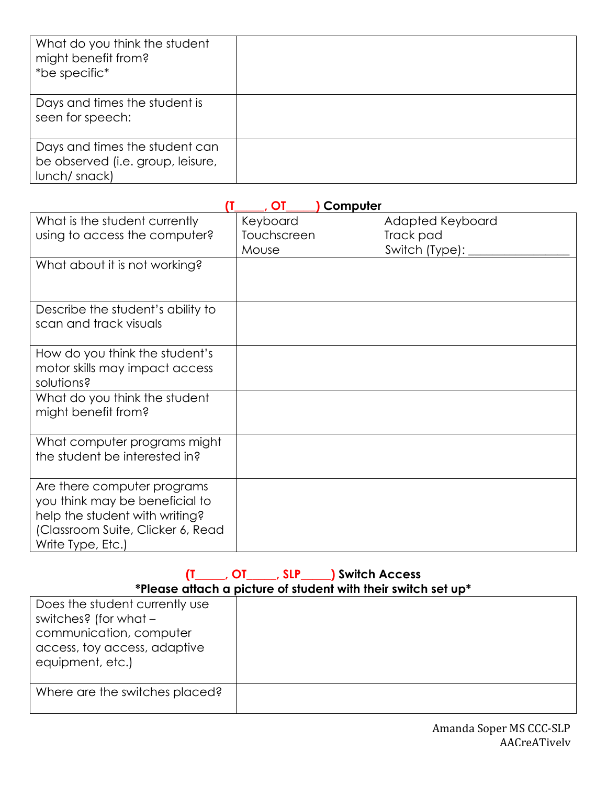| What do you think the student<br>might benefit from?<br>*be specific*                |  |
|--------------------------------------------------------------------------------------|--|
| Days and times the student is<br>seen for speech:                                    |  |
| Days and times the student can<br>be observed (i.e. group, leisure,<br>lunch/ snack) |  |

|                                                                                                                                                           | OT          | Computer         |
|-----------------------------------------------------------------------------------------------------------------------------------------------------------|-------------|------------------|
| What is the student currently                                                                                                                             | Keyboard    | Adapted Keyboard |
| using to access the computer?                                                                                                                             | Touchscreen | Track pad        |
|                                                                                                                                                           | Mouse       | Switch (Type):   |
| What about it is not working?                                                                                                                             |             |                  |
|                                                                                                                                                           |             |                  |
| Describe the student's ability to<br>scan and track visuals                                                                                               |             |                  |
| How do you think the student's<br>motor skills may impact access<br>solutions?                                                                            |             |                  |
| What do you think the student<br>might benefit from?                                                                                                      |             |                  |
| What computer programs might<br>the student be interested in?                                                                                             |             |                  |
| Are there computer programs<br>you think may be beneficial to<br>help the student with writing?<br>(Classroom Suite, Clicker 6, Read<br>Write Type, Etc.) |             |                  |

#### **(T\_\_\_\_\_, OT\_\_\_\_\_, SLP\_\_\_\_\_) Switch Access \*Please attach a picture of student with their switch set up\***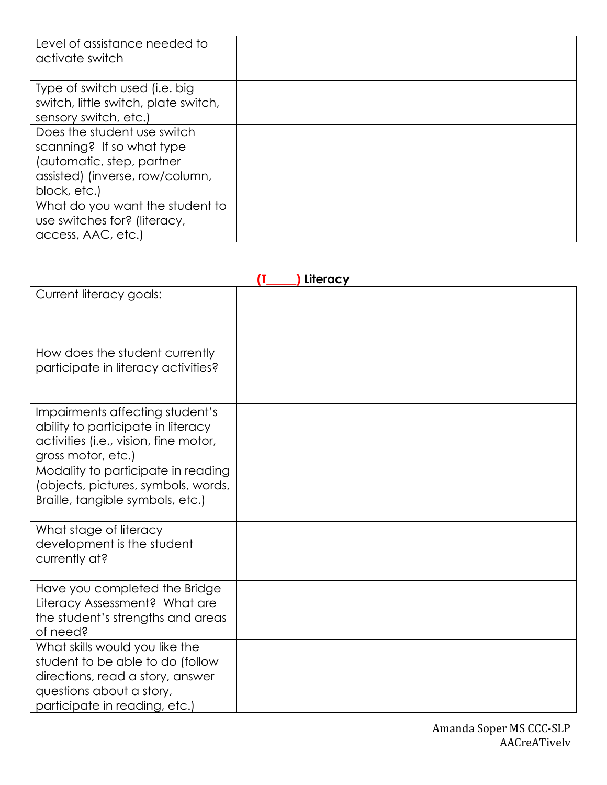| Level of assistance needed to<br>activate switch                                                                                         |  |
|------------------------------------------------------------------------------------------------------------------------------------------|--|
| Type of switch used (i.e. big<br>switch, little switch, plate switch,<br>sensory switch, etc.)                                           |  |
| Does the student use switch<br>scanning? If so what type<br>(automatic, step, partner<br>assisted) (inverse, row/column,<br>block, etc.) |  |
| What do you want the student to<br>use switches for? (literacy,<br>access, AAC, etc.)                                                    |  |

| Literacy<br>(T                                                                                                                                                      |  |  |
|---------------------------------------------------------------------------------------------------------------------------------------------------------------------|--|--|
| Current literacy goals:                                                                                                                                             |  |  |
|                                                                                                                                                                     |  |  |
| How does the student currently<br>participate in literacy activities?                                                                                               |  |  |
| Impairments affecting student's<br>ability to participate in literacy<br>activities (i.e., vision, fine motor,<br>gross motor, etc.)                                |  |  |
| Modality to participate in reading<br>(objects, pictures, symbols, words,<br>Braille, tangible symbols, etc.)                                                       |  |  |
| What stage of literacy<br>development is the student<br>currently at?                                                                                               |  |  |
| Have you completed the Bridge<br>Literacy Assessment? What are<br>the student's strengths and areas<br>of need?                                                     |  |  |
| What skills would you like the<br>student to be able to do (follow<br>directions, read a story, answer<br>questions about a story,<br>participate in reading, etc.) |  |  |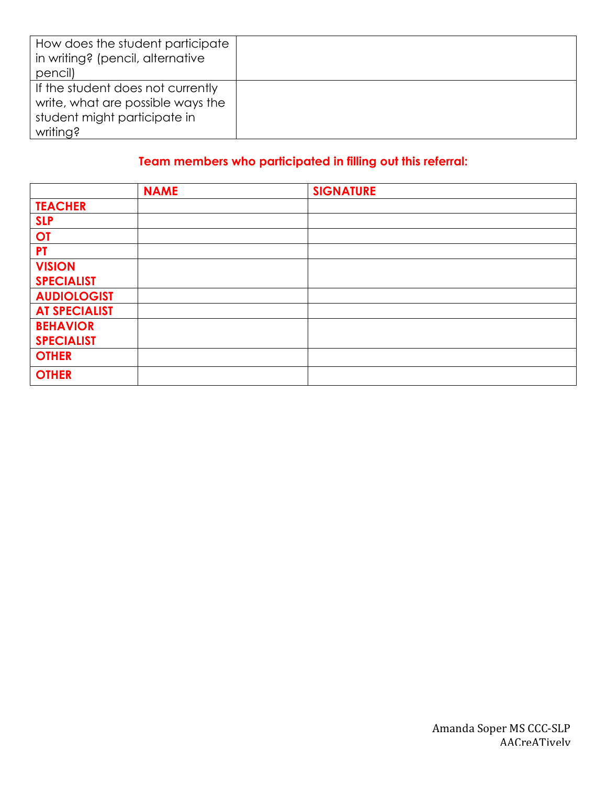| How does the student participate<br>in writing? (pencil, alternative |  |
|----------------------------------------------------------------------|--|
| pencil)                                                              |  |
| If the student does not currently                                    |  |
| write, what are possible ways the                                    |  |
| student might participate in                                         |  |
| writing?                                                             |  |

# **Team members who participated in filling out this referral:**

|                      | <b>NAME</b> | <b>SIGNATURE</b> |
|----------------------|-------------|------------------|
| <b>TEACHER</b>       |             |                  |
| <b>SLP</b>           |             |                  |
| <b>OT</b>            |             |                  |
| <b>PT</b>            |             |                  |
| <b>VISION</b>        |             |                  |
| <b>SPECIALIST</b>    |             |                  |
| <b>AUDIOLOGIST</b>   |             |                  |
| <b>AT SPECIALIST</b> |             |                  |
| <b>BEHAVIOR</b>      |             |                  |
| <b>SPECIALIST</b>    |             |                  |
| <b>OTHER</b>         |             |                  |
| <b>OTHER</b>         |             |                  |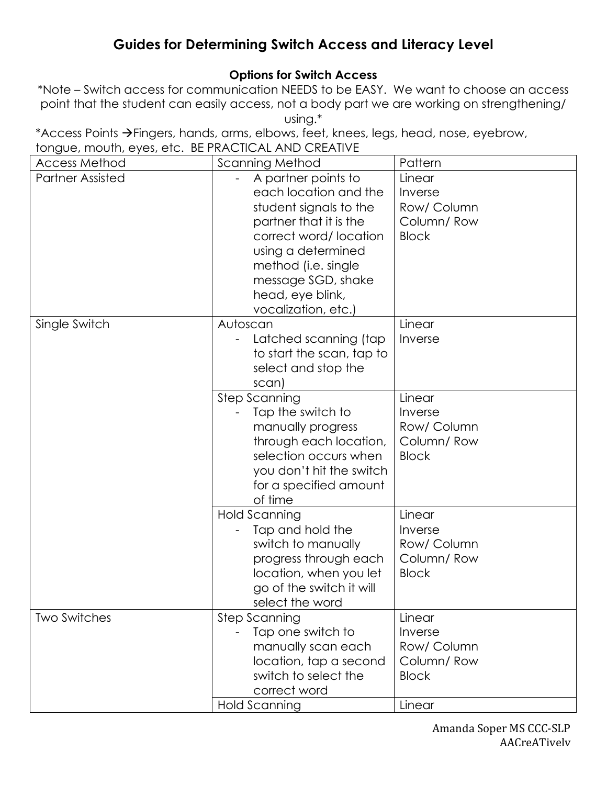# **Guides for Determining Switch Access and Literacy Level**

# **Options for Switch Access**

\*Note – Switch access for communication NEEDS to be EASY. We want to choose an access point that the student can easily access, not a body part we are working on strengthening/ using.\*

\*Access Points  $\rightarrow$  Fingers, hands, arms, elbows, feet, knees, legs, head, nose, eyebrow, tongue, mouth, eyes, etc. BE PRACTICAL AND CREATIVE

| <b>Access Method</b>    | <b>Scanning Method</b>                                                                                                                                                                                                                  | Pattern                                                        |
|-------------------------|-----------------------------------------------------------------------------------------------------------------------------------------------------------------------------------------------------------------------------------------|----------------------------------------------------------------|
| <b>Partner Assisted</b> | A partner points to<br>each location and the<br>student signals to the<br>partner that it is the<br>correct word/location<br>using a determined<br>method (i.e. single<br>message SGD, shake<br>head, eye blink,<br>vocalization, etc.) | Linear<br>Inverse<br>Row/ Column<br>Column/Row<br><b>Block</b> |
| Single Switch           | Autoscan<br>Latched scanning (tap<br>to start the scan, tap to<br>select and stop the<br>scan)                                                                                                                                          | Linear<br>Inverse                                              |
|                         | <b>Step Scanning</b><br>Tap the switch to<br>manually progress<br>through each location,<br>selection occurs when<br>you don't hit the switch<br>for a specified amount<br>of time                                                      | Linear<br>Inverse<br>Row/ Column<br>Column/Row<br><b>Block</b> |
|                         | Hold Scanning<br>Tap and hold the<br>switch to manually<br>progress through each<br>location, when you let<br>go of the switch it will<br>select the word                                                                               | Linear<br>Inverse<br>Row/ Column<br>Column/Row<br><b>Block</b> |
| <b>Two Switches</b>     | <b>Step Scanning</b><br>Tap one switch to<br>manually scan each<br>location, tap a second<br>switch to select the<br>correct word                                                                                                       | Linear<br>Inverse<br>Row/ Column<br>Column/Row<br><b>Block</b> |
|                         | Hold Scanning                                                                                                                                                                                                                           | Linear                                                         |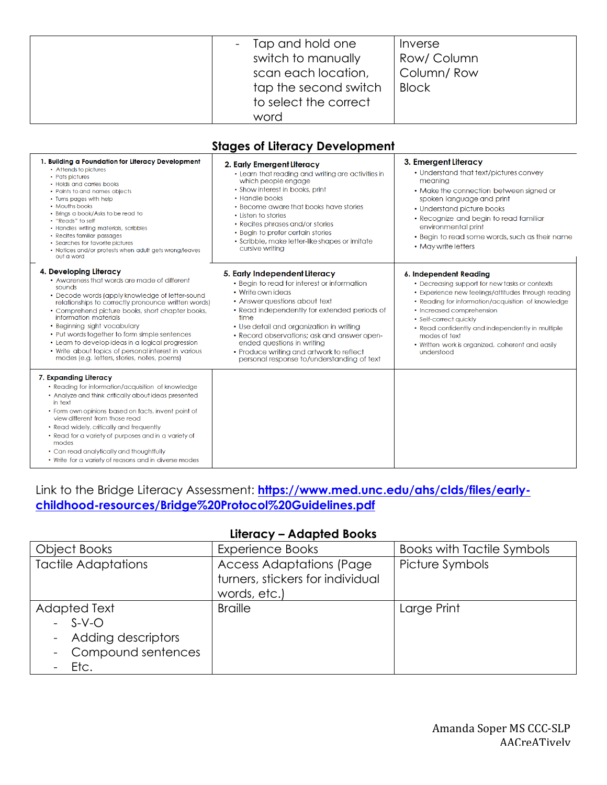| Tap and hold one<br>switch to manually<br>scan each location,<br>tap the second switch<br>to select the correct | Inverse<br>Row/ Column<br>Column/Row<br><b>Block</b> |
|-----------------------------------------------------------------------------------------------------------------|------------------------------------------------------|
| word                                                                                                            |                                                      |

#### **Stages of Literacy Development**

| 1. Building a Foundation for Literacy Development<br>• Attends to pictures<br>• Pats pictures<br>• Holds and carries books<br>• Points to and names objects<br>• Turns pages with help<br>• Mouths books<br>• Brings a book/Asks to be read to<br>• "Reads" to self<br>• Handles writing materials, scribbles<br>• Recites familiar passages<br>• Searches for favorite pictures<br>• Notices and/or protests when adult gets wrong/leaves<br>out a word                                                             | 2. Early Emergent Literacy<br>• Learn that reading and writing are activities in<br>which people engage<br>• Show interest in books, print<br>• Handle books<br>• Become aware that books have stories<br>• Listen to stories<br>• Recites phrases and/or stories<br>• Begin to prefer certain stories<br>• Scribble, make letter-like shapes or imitate<br>cursive writing                                   | 3. Emergent Literacy<br>• Understand that text/pictures convey<br>meaning<br>• Make the connection between signed or<br>spoken language and print<br>• Understand picture books<br>• Recognize and begin to read familiar<br>environmental print<br>• Begin to read some words, such as their name<br>• May write letters                                                           |
|----------------------------------------------------------------------------------------------------------------------------------------------------------------------------------------------------------------------------------------------------------------------------------------------------------------------------------------------------------------------------------------------------------------------------------------------------------------------------------------------------------------------|---------------------------------------------------------------------------------------------------------------------------------------------------------------------------------------------------------------------------------------------------------------------------------------------------------------------------------------------------------------------------------------------------------------|-------------------------------------------------------------------------------------------------------------------------------------------------------------------------------------------------------------------------------------------------------------------------------------------------------------------------------------------------------------------------------------|
| 4. Developing Literacy<br>• Awareness that words are made of different<br>sounds<br>• Decode words (apply knowledge of letter-sound<br>relationships to correctly pronounce written words)<br>• Comprehend picture books, short chapter books,<br>information materials<br>• Beginning sight vocabulary<br>• Put words together to form simple sentences<br>• Learn to develop ideas in a logical progression<br>• Write about topics of personal interest in various<br>modes (e.g. letters, stories, notes, poems) | 5. Early Independent Literacy<br>• Begin to read for interest or information<br>• Write own ideas<br>• Answer questions about text<br>• Read independently for extended periods of<br>time<br>• Use detail and organization in writing<br>• Record observations; ask and answer open-<br>ended questions in writing<br>• Produce writing and artwork to reflect<br>personal response to/understanding of text | 6. Independent Reading<br>• Decreasing support for new tasks or contexts<br>• Experience new feelings/attitudes through reading<br>• Reading for information/acquisition of knowledge<br>• Increased comprehension<br>• Self-correct quickly<br>• Read confidently and independently in multiple<br>modes of text<br>• Written work is organized, coherent and easily<br>understood |
| 7. Expanding Literacy<br>• Reading for information/acquisition of knowledge<br>• Analyze and think critically about ideas presented<br>in text<br>• Form own opinions based on facts, invent point of<br>view different from those read<br>• Read widely, critically and frequently<br>• Read for a variety of purposes and in a variety of<br>modes<br>• Can read analytically and thoughtfully<br>• Write for a variety of reasons and in diverse modes                                                            |                                                                                                                                                                                                                                                                                                                                                                                                               |                                                                                                                                                                                                                                                                                                                                                                                     |

## Link to the Bridge Literacy Assessment: **https://www.med.unc.edu/ahs/clds/files/earlychildhood-resources/Bridge%20Protocol%20Guidelines.pdf**

### **Literacy – Adapted Books**

| Object Books                                                                     | <b>Experience Books</b>                                                             | <b>Books with Tactile Symbols</b> |
|----------------------------------------------------------------------------------|-------------------------------------------------------------------------------------|-----------------------------------|
| <b>Tactile Adaptations</b>                                                       | <b>Access Adaptations (Page</b><br>turners, stickers for individual<br>words, etc.) | Picture Symbols                   |
| Adapted Text<br>$-S-V-O$<br>- Adding descriptors<br>- Compound sentences<br>Etc. | <b>Braille</b>                                                                      | Large Print                       |